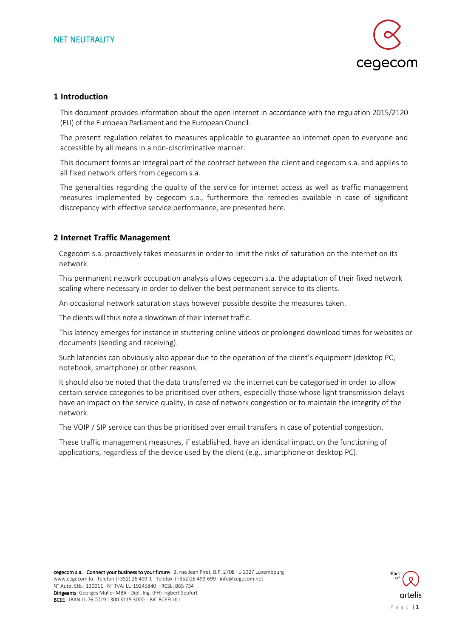

#### **1 Introduction**

This document provides information about the open internet in accordance with the regulation 2015/2120 (EU) of the European Parliament and the European Council.

The present regulation relates to measures applicable to guarantee an internet open to everyone and accessible by all means in a non-discriminative manner.

This document forms an integral part of the contract between the client and cegecom s.a. and applies to all fixed network offers from cegecom s.a.

The generalities regarding the quality of the service for internet access as well as traffic management measures implemented by cegecom s.a., furthermore the remedies available in case of significant discrepancy with effective service performance, are presented here.

#### **2 Internet Traffic Management**

Cegecom s.a. proactively takes measures in order to limit the risks of saturation on the internet on its network.

This permanent network occupation analysis allows cegecom s.a. the adaptation of their fixed network scaling where necessary in order to deliver the best permanent service to its clients.

An occasional network saturation stays however possible despite the measures taken.

The clients will thus note a slowdown of their internet traffic.

This latency emerges for instance in stuttering online videos or prolonged download times for websites or documents (sending and receiving).

Such latencies can obviously also appear due to the operation of the client's equipment (desktop PC, notebook, smartphone) or other reasons.

It should also be noted that the data transferred via the internet can be categorised in order to allow certain service categories to be prioritised over others, especially those whose light transmission delays have an impact on the service quality, in case of network congestion or to maintain the integrity of the network.

The VOIP / SIP service can thus be prioritised over email transfers in case of potential congestion.

These traffic management measures, if established, have an identical impact on the functioning of applications, regardless of the device used by the client (e.g., smartphone or desktop PC).

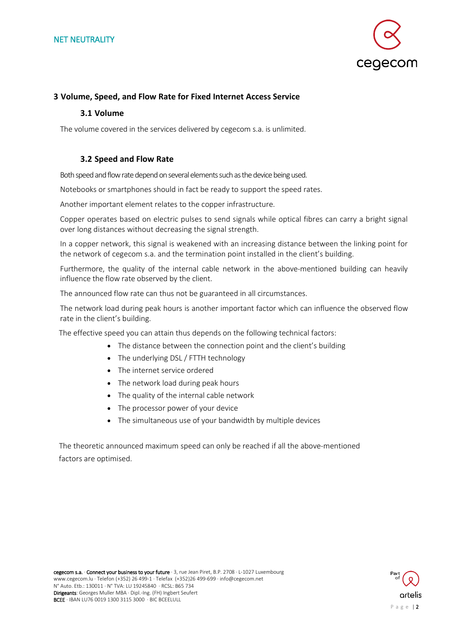

#### **3 Volume, Speed, and Flow Rate for Fixed Internet Access Service**

#### **3.1 Volume**

The volume covered in the services delivered by cegecom s.a. is unlimited.

#### **3.2 Speed and Flow Rate**

Both speed and flow rate depend on several elements such as the device being used.

Notebooks or smartphones should in fact be ready to support the speed rates.

Another important element relates to the copper infrastructure.

Copper operates based on electric pulses to send signals while optical fibres can carry a bright signal over long distances without decreasing the signal strength.

In a copper network, this signal is weakened with an increasing distance between the linking point for the network of cegecom s.a. and the termination point installed in the client's building.

Furthermore, the quality of the internal cable network in the above-mentioned building can heavily influence the flow rate observed by the client.

The announced flow rate can thus not be guaranteed in all circumstances.

The network load during peak hours is another important factor which can influence the observed flow rate in the client's building.

The effective speed you can attain thus depends on the following technical factors:

- The distance between the connection point and the client's building
- The underlying DSL / FTTH technology
- The internet service ordered
- The network load during peak hours
- The quality of the internal cable network
- The processor power of your device
- The simultaneous use of your bandwidth by multiple devices

The theoretic announced maximum speed can only be reached if all the above-mentioned factors are optimised.

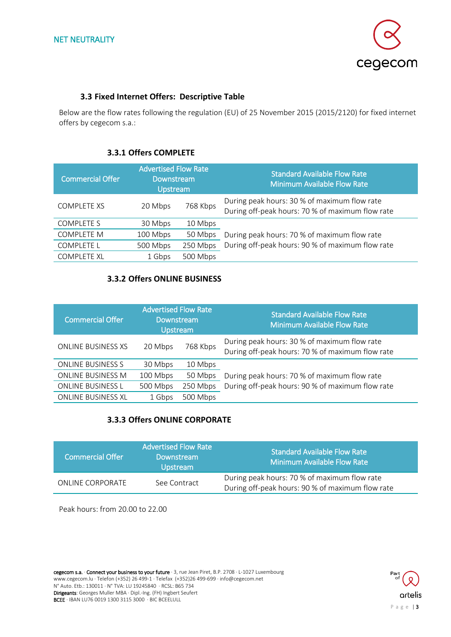

#### **3.3 Fixed Internet Offers: Descriptive Table**

Below are the flow rates following the regulation (EU) of 25 November 2015 (2015/2120) for fixed internet offers by cegecom s.a.:

## **3.3.1 Offers COMPLETE**

| <b>Commercial Offer</b> | <b>Advertised Flow Rate</b><br>Downstream<br>Upstream |          | <b>Standard Available Flow Rate</b><br><b>Minimum Available Flow Rate</b>                        |
|-------------------------|-------------------------------------------------------|----------|--------------------------------------------------------------------------------------------------|
| <b>COMPLETE XS</b>      | 20 Mbps                                               | 768 Kbps | During peak hours: 30 % of maximum flow rate<br>During off-peak hours: 70 % of maximum flow rate |
| <b>COMPLETE S</b>       | 30 Mbps                                               | 10 Mbps  |                                                                                                  |
| <b>COMPLETE M</b>       | 100 Mbps                                              | 50 Mbps  | During peak hours: 70 % of maximum flow rate                                                     |
| <b>COMPLETE L</b>       | 500 Mbps                                              | 250 Mbps | During off-peak hours: 90 % of maximum flow rate                                                 |
| <b>COMPLETE XL</b>      | 1 Gbps                                                | 500 Mbps |                                                                                                  |

## **3.3.2 Offers ONLINE BUSINESS**

| <b>Commercial Offer</b>   | <b>Advertised Flow Rate</b><br>Downstream<br><b>Upstream</b> |          | <b>Standard Available Flow Rate</b><br><b>Minimum Available Flow Rate</b>                        |
|---------------------------|--------------------------------------------------------------|----------|--------------------------------------------------------------------------------------------------|
| <b>ONLINE BUSINESS XS</b> | 20 Mbps                                                      | 768 Kbps | During peak hours: 30 % of maximum flow rate<br>During off-peak hours: 70 % of maximum flow rate |
| <b>ONLINE BUSINESS S</b>  | 30 Mbps                                                      | 10 Mbps  |                                                                                                  |
| <b>ONLINE BUSINESS M</b>  | 100 Mbps                                                     | 50 Mbps  | During peak hours: 70 % of maximum flow rate                                                     |
| <b>ONLINE BUSINESS L</b>  | 500 Mbps                                                     | 250 Mbps | During off-peak hours: 90 % of maximum flow rate                                                 |
| <b>ONLINE BUSINESS XL</b> | 1 Gbps                                                       | 500 Mbps |                                                                                                  |

# **3.3.3 Offers ONLINE CORPORATE**

| <b>Commercial Offer</b> | <b>Advertised Flow Rate</b><br>Downstream<br><b>Upstream</b> | <b>Standard Available Flow Rate</b><br><b>Minimum Available Flow Rate</b>                        |
|-------------------------|--------------------------------------------------------------|--------------------------------------------------------------------------------------------------|
| ONLINE CORPORATE        | See Contract                                                 | During peak hours: 70 % of maximum flow rate<br>During off-peak hours: 90 % of maximum flow rate |

Peak hours: from 20.00 to 22.00